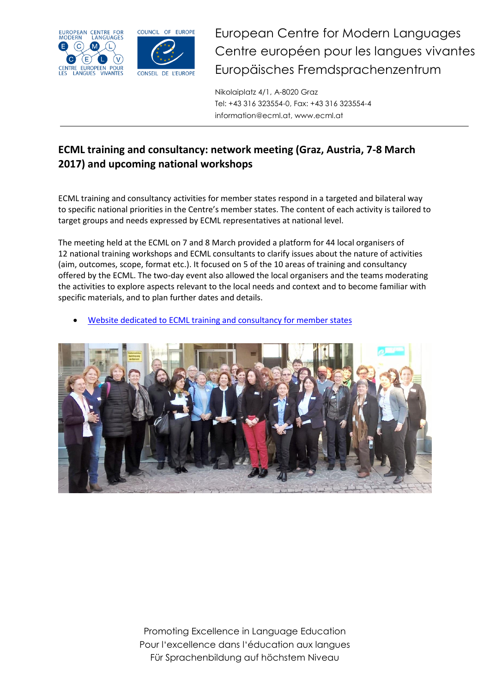



European Centre for Modern Languages Centre européen pour les langues vivantes Europäisches Fremdsprachenzentrum

Nikolaiplatz 4/1, A-8020 Graz Tel: +43 316 323554-0, Fax: +43 316 323554-4 information@ecml.at, www.ecml.at

## **ECML training and consultancy: network meeting (Graz, Austria, 7-8 March 2017) and upcoming national workshops**

ECML training and consultancy activities for member states respond in a targeted and bilateral way to specific national priorities in the Centre's member states. The content of each activity is tailored to target groups and needs expressed by ECML representatives at national level.

The meeting held at the ECML on 7 and 8 March provided a platform for 44 local organisers of 12 national training workshops and ECML consultants to clarify issues about the nature of activities (aim, outcomes, scope, format etc.). It focused on 5 of the 10 areas of training and consultancy offered by the ECML. The two-day event also allowed the local organisers and the teams moderating the activities to explore aspects relevant to the local needs and context and to become familiar with specific materials, and to plan further dates and details.

[Website dedicated to ECML training and consultancy for member states](http://www.ecml.at/TrainingConsultancy/TrainingConsultancy-Overview/tabid/1764/language/en-GB/Default.aspx)



Promoting Excellence in Language Education Pour l'excellence dans l'éducation aux langues Für Sprachenbildung auf höchstem Niveau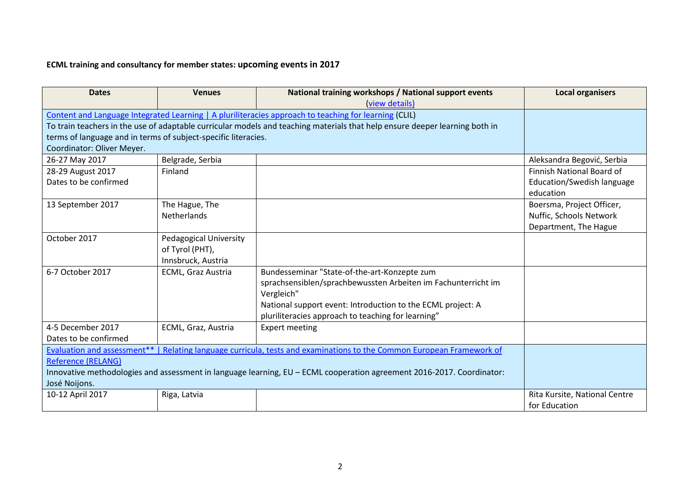## **ECML training and consultancy for member states: upcoming events in 2017**

| <b>Dates</b>                                                                                                          | <b>Venues</b>             | National training workshops / National support events<br>(view details)                                                     | <b>Local organisers</b>          |
|-----------------------------------------------------------------------------------------------------------------------|---------------------------|-----------------------------------------------------------------------------------------------------------------------------|----------------------------------|
| Content and Language Integrated Learning   A pluriliteracies approach to teaching for learning (CLIL)                 |                           |                                                                                                                             |                                  |
|                                                                                                                       |                           | To train teachers in the use of adaptable curricular models and teaching materials that help ensure deeper learning both in |                                  |
| terms of language and in terms of subject-specific literacies.                                                        |                           |                                                                                                                             |                                  |
| Coordinator: Oliver Meyer.                                                                                            |                           |                                                                                                                             |                                  |
| 26-27 May 2017                                                                                                        | Belgrade, Serbia          |                                                                                                                             | Aleksandra Begović, Serbia       |
| 28-29 August 2017                                                                                                     | Finland                   |                                                                                                                             | <b>Finnish National Board of</b> |
| Dates to be confirmed                                                                                                 |                           |                                                                                                                             | Education/Swedish language       |
|                                                                                                                       |                           |                                                                                                                             | education                        |
| 13 September 2017                                                                                                     | The Hague, The            |                                                                                                                             | Boersma, Project Officer,        |
|                                                                                                                       | <b>Netherlands</b>        |                                                                                                                             | Nuffic, Schools Network          |
|                                                                                                                       |                           |                                                                                                                             | Department, The Hague            |
| October 2017                                                                                                          | Pedagogical University    |                                                                                                                             |                                  |
|                                                                                                                       | of Tyrol (PHT),           |                                                                                                                             |                                  |
|                                                                                                                       | Innsbruck, Austria        |                                                                                                                             |                                  |
| 6-7 October 2017                                                                                                      | <b>ECML, Graz Austria</b> | Bundesseminar "State-of-the-art-Konzepte zum                                                                                |                                  |
|                                                                                                                       |                           | sprachsensiblen/sprachbewussten Arbeiten im Fachunterricht im                                                               |                                  |
|                                                                                                                       |                           | Vergleich"                                                                                                                  |                                  |
|                                                                                                                       |                           | National support event: Introduction to the ECML project: A                                                                 |                                  |
|                                                                                                                       |                           | pluriliteracies approach to teaching for learning"                                                                          |                                  |
| 4-5 December 2017                                                                                                     | ECML, Graz, Austria       | <b>Expert meeting</b>                                                                                                       |                                  |
| Dates to be confirmed                                                                                                 |                           |                                                                                                                             |                                  |
| Evaluation and assessment**   Relating language curricula, tests and examinations to the Common European Framework of |                           |                                                                                                                             |                                  |
| <b>Reference (RELANG)</b>                                                                                             |                           |                                                                                                                             |                                  |
| Innovative methodologies and assessment in language learning, EU - ECML cooperation agreement 2016-2017. Coordinator: |                           |                                                                                                                             |                                  |
| José Noijons.                                                                                                         |                           |                                                                                                                             |                                  |
| 10-12 April 2017                                                                                                      | Riga, Latvia              |                                                                                                                             | Rita Kursite, National Centre    |
|                                                                                                                       |                           |                                                                                                                             | for Education                    |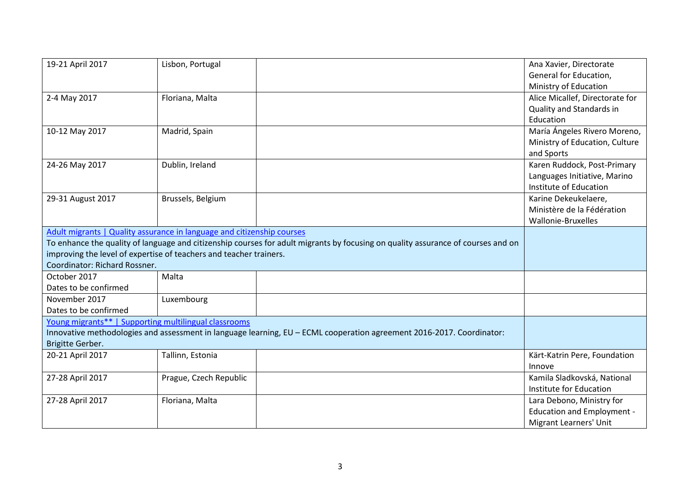| 19-21 April 2017                                                       | Lisbon, Portugal       |                                                                                                                                  | Ana Xavier, Directorate           |
|------------------------------------------------------------------------|------------------------|----------------------------------------------------------------------------------------------------------------------------------|-----------------------------------|
|                                                                        |                        |                                                                                                                                  | General for Education,            |
|                                                                        |                        |                                                                                                                                  | Ministry of Education             |
| 2-4 May 2017                                                           | Floriana, Malta        |                                                                                                                                  | Alice Micallef, Directorate for   |
|                                                                        |                        |                                                                                                                                  | Quality and Standards in          |
|                                                                        |                        |                                                                                                                                  | Education                         |
| 10-12 May 2017                                                         | Madrid, Spain          |                                                                                                                                  | María Ángeles Rivero Moreno,      |
|                                                                        |                        |                                                                                                                                  | Ministry of Education, Culture    |
|                                                                        |                        |                                                                                                                                  | and Sports                        |
| 24-26 May 2017                                                         | Dublin, Ireland        |                                                                                                                                  | Karen Ruddock, Post-Primary       |
|                                                                        |                        |                                                                                                                                  | Languages Initiative, Marino      |
|                                                                        |                        |                                                                                                                                  | Institute of Education            |
| 29-31 August 2017                                                      | Brussels, Belgium      |                                                                                                                                  | Karine Dekeukelaere,              |
|                                                                        |                        |                                                                                                                                  | Ministère de la Fédération        |
|                                                                        |                        |                                                                                                                                  | Wallonie-Bruxelles                |
| Adult migrants   Quality assurance in language and citizenship courses |                        |                                                                                                                                  |                                   |
|                                                                        |                        | To enhance the quality of language and citizenship courses for adult migrants by focusing on quality assurance of courses and on |                                   |
| improving the level of expertise of teachers and teacher trainers.     |                        |                                                                                                                                  |                                   |
| Coordinator: Richard Rossner.                                          |                        |                                                                                                                                  |                                   |
| October 2017                                                           | Malta                  |                                                                                                                                  |                                   |
| Dates to be confirmed                                                  |                        |                                                                                                                                  |                                   |
| November 2017                                                          | Luxembourg             |                                                                                                                                  |                                   |
| Dates to be confirmed                                                  |                        |                                                                                                                                  |                                   |
| Young migrants**   Supporting multilingual classrooms                  |                        |                                                                                                                                  |                                   |
|                                                                        |                        | Innovative methodologies and assessment in language learning, EU - ECML cooperation agreement 2016-2017. Coordinator:            |                                   |
| Brigitte Gerber.                                                       |                        |                                                                                                                                  |                                   |
| 20-21 April 2017                                                       | Tallinn, Estonia       |                                                                                                                                  | Kärt-Katrin Pere, Foundation      |
|                                                                        |                        |                                                                                                                                  | Innove                            |
| 27-28 April 2017                                                       | Prague, Czech Republic |                                                                                                                                  | Kamila Sladkovská, National       |
|                                                                        |                        |                                                                                                                                  | Institute for Education           |
| 27-28 April 2017                                                       | Floriana, Malta        |                                                                                                                                  | Lara Debono, Ministry for         |
|                                                                        |                        |                                                                                                                                  | <b>Education and Employment -</b> |
|                                                                        |                        |                                                                                                                                  | Migrant Learners' Unit            |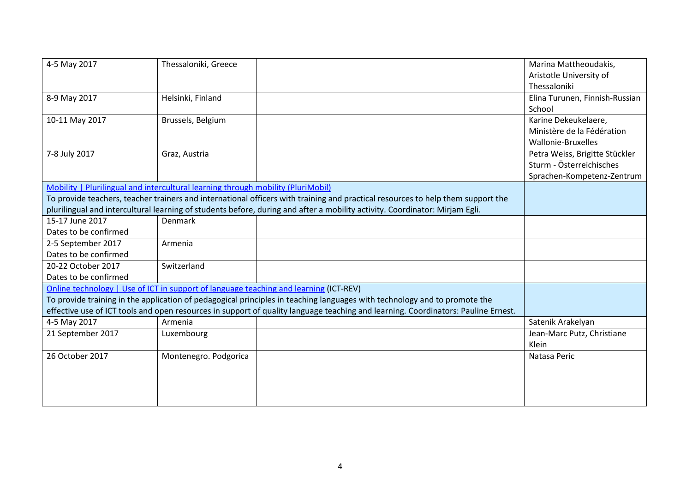| 4-5 May 2017                                                                                                                    | Thessaloniki, Greece  |                                                                                                                                   | Marina Mattheoudakis,          |
|---------------------------------------------------------------------------------------------------------------------------------|-----------------------|-----------------------------------------------------------------------------------------------------------------------------------|--------------------------------|
|                                                                                                                                 |                       |                                                                                                                                   | Aristotle University of        |
|                                                                                                                                 |                       |                                                                                                                                   | Thessaloniki                   |
| 8-9 May 2017                                                                                                                    | Helsinki, Finland     |                                                                                                                                   | Elina Turunen, Finnish-Russian |
|                                                                                                                                 |                       |                                                                                                                                   | School                         |
| 10-11 May 2017                                                                                                                  | Brussels, Belgium     |                                                                                                                                   | Karine Dekeukelaere,           |
|                                                                                                                                 |                       |                                                                                                                                   | Ministère de la Fédération     |
|                                                                                                                                 |                       |                                                                                                                                   | Wallonie-Bruxelles             |
| 7-8 July 2017                                                                                                                   | Graz, Austria         |                                                                                                                                   | Petra Weiss, Brigitte Stückler |
|                                                                                                                                 |                       |                                                                                                                                   | Sturm - Österreichisches       |
|                                                                                                                                 |                       |                                                                                                                                   | Sprachen-Kompetenz-Zentrum     |
| Mobility   Plurilingual and intercultural learning through mobility (PluriMobil)                                                |                       |                                                                                                                                   |                                |
| To provide teachers, teacher trainers and international officers with training and practical resources to help them support the |                       |                                                                                                                                   |                                |
|                                                                                                                                 |                       | plurilingual and intercultural learning of students before, during and after a mobility activity. Coordinator: Mirjam Egli.       |                                |
| 15-17 June 2017                                                                                                                 | Denmark               |                                                                                                                                   |                                |
| Dates to be confirmed                                                                                                           |                       |                                                                                                                                   |                                |
| 2-5 September 2017                                                                                                              | Armenia               |                                                                                                                                   |                                |
| Dates to be confirmed                                                                                                           |                       |                                                                                                                                   |                                |
| 20-22 October 2017                                                                                                              | Switzerland           |                                                                                                                                   |                                |
| Dates to be confirmed                                                                                                           |                       |                                                                                                                                   |                                |
| Online technology   Use of ICT in support of language teaching and learning (ICT-REV)                                           |                       |                                                                                                                                   |                                |
|                                                                                                                                 |                       | To provide training in the application of pedagogical principles in teaching languages with technology and to promote the         |                                |
|                                                                                                                                 |                       | effective use of ICT tools and open resources in support of quality language teaching and learning. Coordinators: Pauline Ernest. |                                |
| 4-5 May 2017                                                                                                                    | Armenia               |                                                                                                                                   | Satenik Arakelyan              |
| 21 September 2017                                                                                                               | Luxembourg            |                                                                                                                                   | Jean-Marc Putz, Christiane     |
|                                                                                                                                 |                       |                                                                                                                                   | Klein                          |
| 26 October 2017                                                                                                                 | Montenegro. Podgorica |                                                                                                                                   | Natasa Peric                   |
|                                                                                                                                 |                       |                                                                                                                                   |                                |
|                                                                                                                                 |                       |                                                                                                                                   |                                |
|                                                                                                                                 |                       |                                                                                                                                   |                                |
|                                                                                                                                 |                       |                                                                                                                                   |                                |